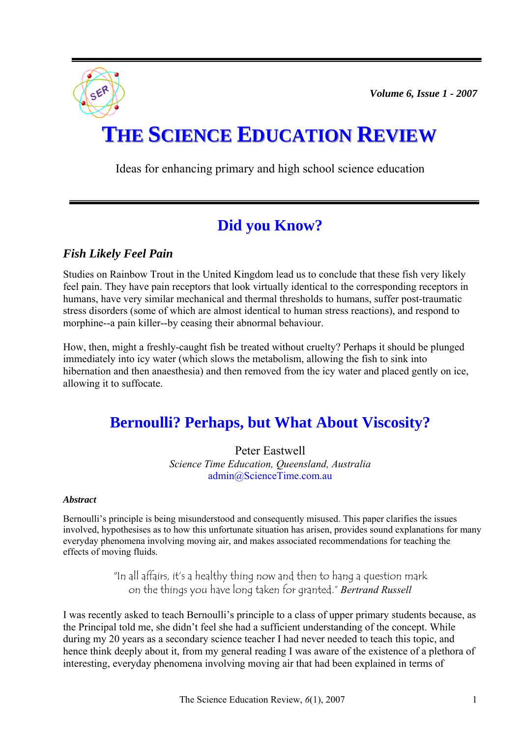*Volume 6, Issue 1 - 2007* 



# **THE SCIENCE EDUCATION REVIEW**

Ideas for enhancing primary and high school science education

## **Did you Know?**

### *Fish Likely Feel Pain*

Studies on Rainbow Trout in the United Kingdom lead us to conclude that these fish very likely feel pain. They have pain receptors that look virtually identical to the corresponding receptors in humans, have very similar mechanical and thermal thresholds to humans, suffer post-traumatic stress disorders (some of which are almost identical to human stress reactions), and respond to morphine--a pain killer--by ceasing their abnormal behaviour.

How, then, might a freshly-caught fish be treated without cruelty? Perhaps it should be plunged immediately into icy water (which slows the metabolism, allowing the fish to sink into hibernation and then anaesthesia) and then removed from the icy water and placed gently on ice, allowing it to suffocate.

# **Bernoulli? Perhaps, but What About Viscosity?**

Peter Eastwell *Science Time Education, Queensland, Australia*  [admin@ScienceTime.com.au](mailto:admin@ScienceTime.com.au) 

#### *Abstract*

Bernoulli's principle is being misunderstood and consequently misused. This paper clarifies the issues involved, hypothesises as to how this unfortunate situation has arisen, provides sound explanations for many everyday phenomena involving moving air, and makes associated recommendations for teaching the effects of moving fluids.

> "In all affairs, it's a healthy thing now and then to hang a question mark on the things you have long taken for granted." *Bertrand Russell*

I was recently asked to teach Bernoulli's principle to a class of upper primary students because, as the Principal told me, she didn't feel she had a sufficient understanding of the concept. While during my 20 years as a secondary science teacher I had never needed to teach this topic, and hence think deeply about it, from my general reading I was aware of the existence of a plethora of interesting, everyday phenomena involving moving air that had been explained in terms of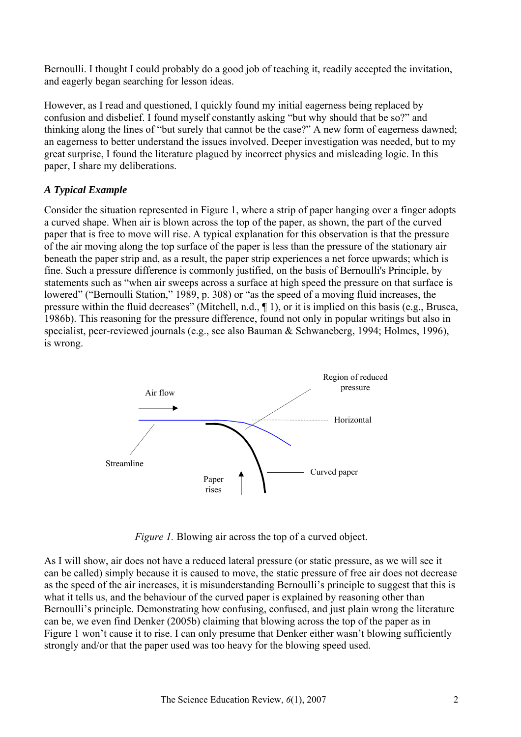Bernoulli. I thought I could probably do a good job of teaching it, readily accepted the invitation, and eagerly began searching for lesson ideas.

However, as I read and questioned, I quickly found my initial eagerness being replaced by confusion and disbelief. I found myself constantly asking "but why should that be so?" and thinking along the lines of "but surely that cannot be the case?" A new form of eagerness dawned; an eagerness to better understand the issues involved. Deeper investigation was needed, but to my great surprise, I found the literature plagued by incorrect physics and misleading logic. In this paper, I share my deliberations.

#### *A Typical Example*

Consider the situation represented in Figure 1, where a strip of paper hanging over a finger adopts a curved shape. When air is blown across the top of the paper, as shown, the part of the curved paper that is free to move will rise. A typical explanation for this observation is that the pressure of the air moving along the top surface of the paper is less than the pressure of the stationary air beneath the paper strip and, as a result, the paper strip experiences a net force upwards; which is fine. Such a pressure difference is commonly justified, on the basis of Bernoulli's Principle, by statements such as "when air sweeps across a surface at high speed the pressure on that surface is lowered" ("Bernoulli Station," 1989, p. 308) or "as the speed of a moving fluid increases, the pressure within the fluid decreases" (Mitchell, n.d., ¶ 1), or it is implied on this basis (e.g., Brusca, 1986b). This reasoning for the pressure difference, found not only in popular writings but also in specialist, peer-reviewed journals (e.g., see also Bauman & Schwaneberg, 1994; Holmes, 1996), is wrong.



*Figure 1.* Blowing air across the top of a curved object.

As I will show, air does not have a reduced lateral pressure (or static pressure, as we will see it can be called) simply because it is caused to move, the static pressure of free air does not decrease as the speed of the air increases, it is misunderstanding Bernoulli's principle to suggest that this is what it tells us, and the behaviour of the curved paper is explained by reasoning other than Bernoulli's principle. Demonstrating how confusing, confused, and just plain wrong the literature can be, we even find Denker (2005b) claiming that blowing across the top of the paper as in Figure 1 won't cause it to rise. I can only presume that Denker either wasn't blowing sufficiently strongly and/or that the paper used was too heavy for the blowing speed used.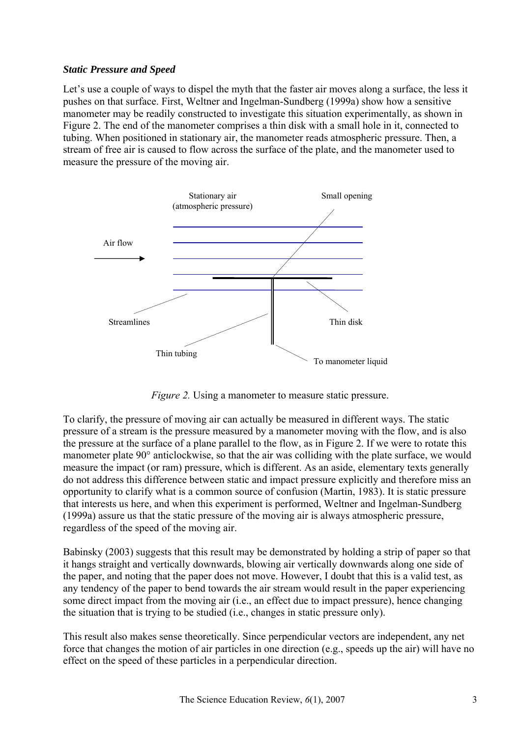#### *Static Pressure and Speed*

Let's use a couple of ways to dispel the myth that the faster air moves along a surface, the less it pushes on that surface. First, Weltner and Ingelman-Sundberg (1999a) show how a sensitive manometer may be readily constructed to investigate this situation experimentally, as shown in Figure 2. The end of the manometer comprises a thin disk with a small hole in it, connected to tubing. When positioned in stationary air, the manometer reads atmospheric pressure. Then, a stream of free air is caused to flow across the surface of the plate, and the manometer used to measure the pressure of the moving air.



*Figure 2.* Using a manometer to measure static pressure.

To clarify, the pressure of moving air can actually be measured in different ways. The static pressure of a stream is the pressure measured by a manometer moving with the flow, and is also the pressure at the surface of a plane parallel to the flow, as in Figure 2. If we were to rotate this manometer plate 90° anticlockwise, so that the air was colliding with the plate surface, we would measure the impact (or ram) pressure, which is different. As an aside, elementary texts generally do not address this difference between static and impact pressure explicitly and therefore miss an opportunity to clarify what is a common source of confusion (Martin, 1983). It is static pressure that interests us here, and when this experiment is performed, Weltner and Ingelman-Sundberg (1999a) assure us that the static pressure of the moving air is always atmospheric pressure, regardless of the speed of the moving air.

Babinsky (2003) suggests that this result may be demonstrated by holding a strip of paper so that it hangs straight and vertically downwards, blowing air vertically downwards along one side of the paper, and noting that the paper does not move. However, I doubt that this is a valid test, as any tendency of the paper to bend towards the air stream would result in the paper experiencing some direct impact from the moving air (i.e., an effect due to impact pressure), hence changing the situation that is trying to be studied (i.e., changes in static pressure only).

This result also makes sense theoretically. Since perpendicular vectors are independent, any net force that changes the motion of air particles in one direction (e.g., speeds up the air) will have no effect on the speed of these particles in a perpendicular direction.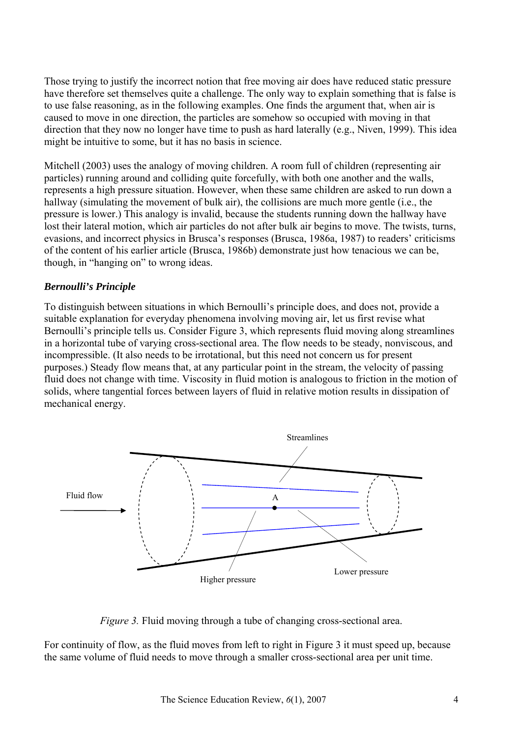Those trying to justify the incorrect notion that free moving air does have reduced static pressure have therefore set themselves quite a challenge. The only way to explain something that is false is to use false reasoning, as in the following examples. One finds the argument that, when air is caused to move in one direction, the particles are somehow so occupied with moving in that direction that they now no longer have time to push as hard laterally (e.g., Niven, 1999). This idea might be intuitive to some, but it has no basis in science.

Mitchell (2003) uses the analogy of moving children. A room full of children (representing air particles) running around and colliding quite forcefully, with both one another and the walls, represents a high pressure situation. However, when these same children are asked to run down a hallway (simulating the movement of bulk air), the collisions are much more gentle (i.e., the pressure is lower.) This analogy is invalid, because the students running down the hallway have lost their lateral motion, which air particles do not after bulk air begins to move. The twists, turns, evasions, and incorrect physics in Brusca's responses (Brusca, 1986a, 1987) to readers' criticisms of the content of his earlier article (Brusca, 1986b) demonstrate just how tenacious we can be, though, in "hanging on" to wrong ideas.

#### *Bernoulli's Principle*

To distinguish between situations in which Bernoulli's principle does, and does not, provide a suitable explanation for everyday phenomena involving moving air, let us first revise what Bernoulli's principle tells us. Consider Figure 3, which represents fluid moving along streamlines in a horizontal tube of varying cross-sectional area. The flow needs to be steady, nonviscous, and incompressible. (It also needs to be irrotational, but this need not concern us for present purposes.) Steady flow means that, at any particular point in the stream, the velocity of passing fluid does not change with time. Viscosity in fluid motion is analogous to friction in the motion of solids, where tangential forces between layers of fluid in relative motion results in dissipation of mechanical energy.



*Figure 3.* Fluid moving through a tube of changing cross-sectional area.

For continuity of flow, as the fluid moves from left to right in Figure 3 it must speed up, because the same volume of fluid needs to move through a smaller cross-sectional area per unit time.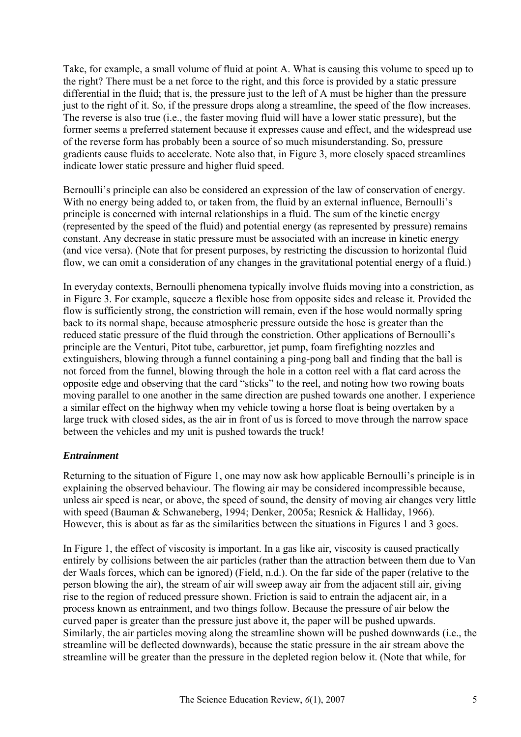Take, for example, a small volume of fluid at point A. What is causing this volume to speed up to the right? There must be a net force to the right, and this force is provided by a static pressure differential in the fluid; that is, the pressure just to the left of A must be higher than the pressure just to the right of it. So, if the pressure drops along a streamline, the speed of the flow increases. The reverse is also true (i.e., the faster moving fluid will have a lower static pressure), but the former seems a preferred statement because it expresses cause and effect, and the widespread use of the reverse form has probably been a source of so much misunderstanding. So, pressure gradients cause fluids to accelerate. Note also that, in Figure 3, more closely spaced streamlines indicate lower static pressure and higher fluid speed.

Bernoulli's principle can also be considered an expression of the law of conservation of energy. With no energy being added to, or taken from, the fluid by an external influence, Bernoulli's principle is concerned with internal relationships in a fluid. The sum of the kinetic energy (represented by the speed of the fluid) and potential energy (as represented by pressure) remains constant. Any decrease in static pressure must be associated with an increase in kinetic energy (and vice versa). (Note that for present purposes, by restricting the discussion to horizontal fluid flow, we can omit a consideration of any changes in the gravitational potential energy of a fluid.)

In everyday contexts, Bernoulli phenomena typically involve fluids moving into a constriction, as in Figure 3. For example, squeeze a flexible hose from opposite sides and release it. Provided the flow is sufficiently strong, the constriction will remain, even if the hose would normally spring back to its normal shape, because atmospheric pressure outside the hose is greater than the reduced static pressure of the fluid through the constriction. Other applications of Bernoulli's principle are the Venturi, Pitot tube, carburettor, jet pump, foam firefighting nozzles and extinguishers, blowing through a funnel containing a ping-pong ball and finding that the ball is not forced from the funnel, blowing through the hole in a cotton reel with a flat card across the opposite edge and observing that the card "sticks" to the reel, and noting how two rowing boats moving parallel to one another in the same direction are pushed towards one another. I experience a similar effect on the highway when my vehicle towing a horse float is being overtaken by a large truck with closed sides, as the air in front of us is forced to move through the narrow space between the vehicles and my unit is pushed towards the truck!

#### *Entrainment*

Returning to the situation of Figure 1, one may now ask how applicable Bernoulli's principle is in explaining the observed behaviour. The flowing air may be considered incompressible because, unless air speed is near, or above, the speed of sound, the density of moving air changes very little with speed (Bauman & Schwaneberg, 1994; Denker, 2005a; Resnick & Halliday, 1966). However, this is about as far as the similarities between the situations in Figures 1 and 3 goes.

In Figure 1, the effect of viscosity is important. In a gas like air, viscosity is caused practically entirely by collisions between the air particles (rather than the attraction between them due to Van der Waals forces, which can be ignored) (Field, n.d.). On the far side of the paper (relative to the person blowing the air), the stream of air will sweep away air from the adjacent still air, giving rise to the region of reduced pressure shown. Friction is said to entrain the adjacent air, in a process known as entrainment, and two things follow. Because the pressure of air below the curved paper is greater than the pressure just above it, the paper will be pushed upwards. Similarly, the air particles moving along the streamline shown will be pushed downwards (i.e., the streamline will be deflected downwards), because the static pressure in the air stream above the streamline will be greater than the pressure in the depleted region below it. (Note that while, for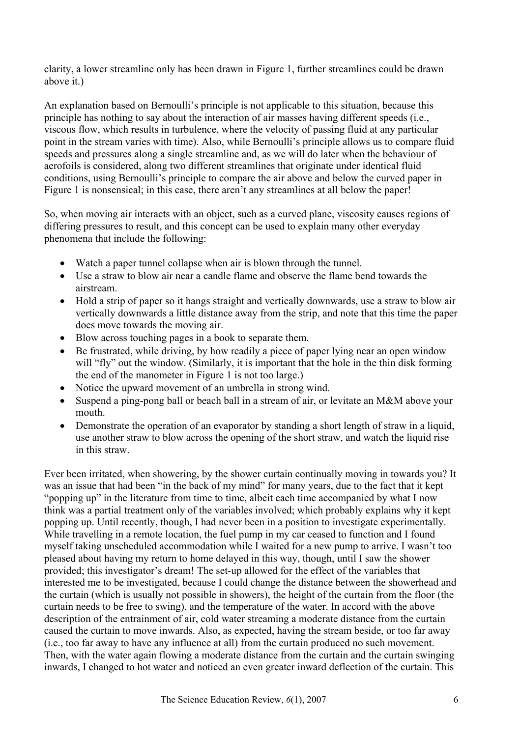clarity, a lower streamline only has been drawn in Figure 1, further streamlines could be drawn above it.)

An explanation based on Bernoulli's principle is not applicable to this situation, because this principle has nothing to say about the interaction of air masses having different speeds (i.e., viscous flow, which results in turbulence, where the velocity of passing fluid at any particular point in the stream varies with time). Also, while Bernoulli's principle allows us to compare fluid speeds and pressures along a single streamline and, as we will do later when the behaviour of aerofoils is considered, along two different streamlines that originate under identical fluid conditions, using Bernoulli's principle to compare the air above and below the curved paper in Figure 1 is nonsensical; in this case, there aren't any streamlines at all below the paper!

So, when moving air interacts with an object, such as a curved plane, viscosity causes regions of differing pressures to result, and this concept can be used to explain many other everyday phenomena that include the following:

- Watch a paper tunnel collapse when air is blown through the tunnel.
- Use a straw to blow air near a candle flame and observe the flame bend towards the airstream.
- Hold a strip of paper so it hangs straight and vertically downwards, use a straw to blow air vertically downwards a little distance away from the strip, and note that this time the paper does move towards the moving air.
- Blow across touching pages in a book to separate them.
- Be frustrated, while driving, by how readily a piece of paper lying near an open window will "fly" out the window. (Similarly, it is important that the hole in the thin disk forming the end of the manometer in Figure 1 is not too large.)
- Notice the upward movement of an umbrella in strong wind.
- Suspend a ping-pong ball or beach ball in a stream of air, or levitate an M&M above your mouth.
- Demonstrate the operation of an evaporator by standing a short length of straw in a liquid, use another straw to blow across the opening of the short straw, and watch the liquid rise in this straw.

Ever been irritated, when showering, by the shower curtain continually moving in towards you? It was an issue that had been "in the back of my mind" for many years, due to the fact that it kept "popping up" in the literature from time to time, albeit each time accompanied by what I now think was a partial treatment only of the variables involved; which probably explains why it kept popping up. Until recently, though, I had never been in a position to investigate experimentally. While travelling in a remote location, the fuel pump in my car ceased to function and I found myself taking unscheduled accommodation while I waited for a new pump to arrive. I wasn't too pleased about having my return to home delayed in this way, though, until I saw the shower provided; this investigator's dream! The set-up allowed for the effect of the variables that interested me to be investigated, because I could change the distance between the showerhead and the curtain (which is usually not possible in showers), the height of the curtain from the floor (the curtain needs to be free to swing), and the temperature of the water. In accord with the above description of the entrainment of air, cold water streaming a moderate distance from the curtain caused the curtain to move inwards. Also, as expected, having the stream beside, or too far away (i.e., too far away to have any influence at all) from the curtain produced no such movement. Then, with the water again flowing a moderate distance from the curtain and the curtain swinging inwards, I changed to hot water and noticed an even greater inward deflection of the curtain. This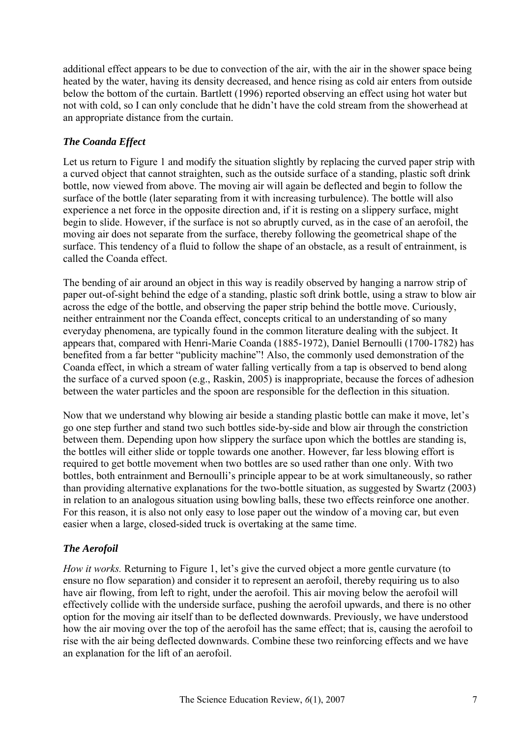additional effect appears to be due to convection of the air, with the air in the shower space being heated by the water, having its density decreased, and hence rising as cold air enters from outside below the bottom of the curtain. Bartlett (1996) reported observing an effect using hot water but not with cold, so I can only conclude that he didn't have the cold stream from the showerhead at an appropriate distance from the curtain.

#### *The Coanda Effect*

Let us return to Figure 1 and modify the situation slightly by replacing the curved paper strip with a curved object that cannot straighten, such as the outside surface of a standing, plastic soft drink bottle, now viewed from above. The moving air will again be deflected and begin to follow the surface of the bottle (later separating from it with increasing turbulence). The bottle will also experience a net force in the opposite direction and, if it is resting on a slippery surface, might begin to slide. However, if the surface is not so abruptly curved, as in the case of an aerofoil, the moving air does not separate from the surface, thereby following the geometrical shape of the surface. This tendency of a fluid to follow the shape of an obstacle, as a result of entrainment, is called the Coanda effect.

The bending of air around an object in this way is readily observed by hanging a narrow strip of paper out-of-sight behind the edge of a standing, plastic soft drink bottle, using a straw to blow air across the edge of the bottle, and observing the paper strip behind the bottle move. Curiously, neither entrainment nor the Coanda effect, concepts critical to an understanding of so many everyday phenomena, are typically found in the common literature dealing with the subject. It appears that, compared with Henri-Marie Coanda (1885-1972), Daniel Bernoulli (1700-1782) has benefited from a far better "publicity machine"! Also, the commonly used demonstration of the Coanda effect, in which a stream of water falling vertically from a tap is observed to bend along the surface of a curved spoon (e.g., Raskin, 2005) is inappropriate, because the forces of adhesion between the water particles and the spoon are responsible for the deflection in this situation.

Now that we understand why blowing air beside a standing plastic bottle can make it move, let's go one step further and stand two such bottles side-by-side and blow air through the constriction between them. Depending upon how slippery the surface upon which the bottles are standing is, the bottles will either slide or topple towards one another. However, far less blowing effort is required to get bottle movement when two bottles are so used rather than one only. With two bottles, both entrainment and Bernoulli's principle appear to be at work simultaneously, so rather than providing alternative explanations for the two-bottle situation, as suggested by Swartz (2003) in relation to an analogous situation using bowling balls, these two effects reinforce one another. For this reason, it is also not only easy to lose paper out the window of a moving car, but even easier when a large, closed-sided truck is overtaking at the same time.

#### *The Aerofoil*

*How it works.* Returning to Figure 1, let's give the curved object a more gentle curvature (to ensure no flow separation) and consider it to represent an aerofoil, thereby requiring us to also have air flowing, from left to right, under the aerofoil. This air moving below the aerofoil will effectively collide with the underside surface, pushing the aerofoil upwards, and there is no other option for the moving air itself than to be deflected downwards. Previously, we have understood how the air moving over the top of the aerofoil has the same effect; that is, causing the aerofoil to rise with the air being deflected downwards. Combine these two reinforcing effects and we have an explanation for the lift of an aerofoil.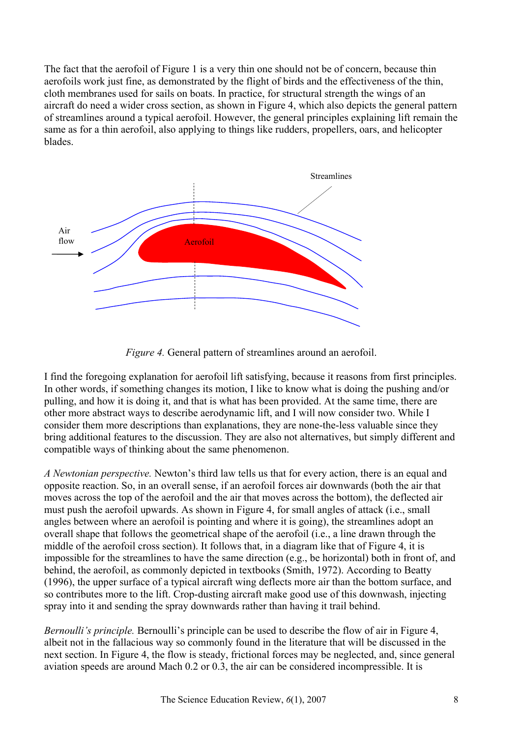The fact that the aerofoil of Figure 1 is a very thin one should not be of concern, because thin aerofoils work just fine, as demonstrated by the flight of birds and the effectiveness of the thin, cloth membranes used for sails on boats. In practice, for structural strength the wings of an aircraft do need a wider cross section, as shown in Figure 4, which also depicts the general pattern of streamlines around a typical aerofoil. However, the general principles explaining lift remain the same as for a thin aerofoil, also applying to things like rudders, propellers, oars, and helicopter blades.



*Figure 4.* General pattern of streamlines around an aerofoil.

I find the foregoing explanation for aerofoil lift satisfying, because it reasons from first principles. In other words, if something changes its motion, I like to know what is doing the pushing and/or pulling, and how it is doing it, and that is what has been provided. At the same time, there are other more abstract ways to describe aerodynamic lift, and I will now consider two. While I consider them more descriptions than explanations, they are none-the-less valuable since they bring additional features to the discussion. They are also not alternatives, but simply different and compatible ways of thinking about the same phenomenon.

*A Newtonian perspective.* Newton's third law tells us that for every action, there is an equal and opposite reaction. So, in an overall sense, if an aerofoil forces air downwards (both the air that moves across the top of the aerofoil and the air that moves across the bottom), the deflected air must push the aerofoil upwards. As shown in Figure 4, for small angles of attack (i.e., small angles between where an aerofoil is pointing and where it is going), the streamlines adopt an overall shape that follows the geometrical shape of the aerofoil (i.e., a line drawn through the middle of the aerofoil cross section). It follows that, in a diagram like that of Figure 4, it is impossible for the streamlines to have the same direction (e.g., be horizontal) both in front of, and behind, the aerofoil, as commonly depicted in textbooks (Smith, 1972). According to Beatty (1996), the upper surface of a typical aircraft wing deflects more air than the bottom surface, and so contributes more to the lift. Crop-dusting aircraft make good use of this downwash, injecting spray into it and sending the spray downwards rather than having it trail behind.

*Bernoulli's principle.* Bernoulli's principle can be used to describe the flow of air in Figure 4, albeit not in the fallacious way so commonly found in the literature that will be discussed in the next section. In Figure 4, the flow is steady, frictional forces may be neglected, and, since general aviation speeds are around Mach 0.2 or 0.3, the air can be considered incompressible. It is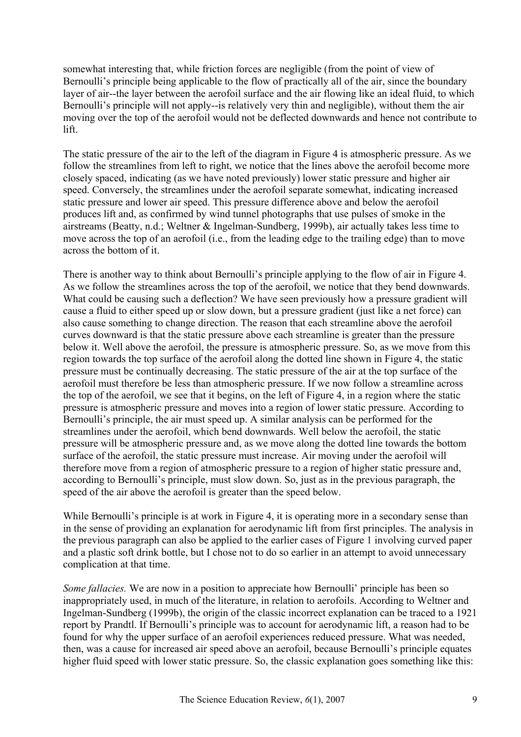somewhat interesting that, while friction forces are negligible (from the point of view of Bernoulli's principle being applicable to the flow of practically all of the air, since the boundary layer of air--the layer between the aerofoil surface and the air flowing like an ideal fluid, to which Bernoulli's principle will not apply--is relatively very thin and negligible), without them the air moving over the top of the aerofoil would not be deflected downwards and hence not contribute to lift.

The static pressure of the air to the left of the diagram in Figure 4 is atmospheric pressure. As we follow the streamlines from left to right, we notice that the lines above the aerofoil become more closely spaced, indicating (as we have noted previously) lower static pressure and higher air speed. Conversely, the streamlines under the aerofoil separate somewhat, indicating increased static pressure and lower air speed. This pressure difference above and below the aerofoil produces lift and, as confirmed by wind tunnel photographs that use pulses of smoke in the airstreams (Beatty, n.d.; Weltner & Ingelman-Sundberg, 1999b), air actually takes less time to move across the top of an aerofoil (i.e., from the leading edge to the trailing edge) than to move across the bottom of it.

There is another way to think about Bernoulli's principle applying to the flow of air in Figure 4. As we follow the streamlines across the top of the aerofoil, we notice that they bend downwards. What could be causing such a deflection? We have seen previously how a pressure gradient will cause a fluid to either speed up or slow down, but a pressure gradient (just like a net force) can also cause something to change direction. The reason that each streamline above the aerofoil curves downward is that the static pressure above each streamline is greater than the pressure below it. Well above the aerofoil, the pressure is atmospheric pressure. So, as we move from this region towards the top surface of the aerofoil along the dotted line shown in Figure 4, the static pressure must be continually decreasing. The static pressure of the air at the top surface of the aerofoil must therefore be less than atmospheric pressure. If we now follow a streamline across the top of the aerofoil, we see that it begins, on the left of Figure 4, in a region where the static pressure is atmospheric pressure and moves into a region of lower static pressure. According to Bernoulli's principle, the air must speed up. A similar analysis can be performed for the streamlines under the aerofoil, which bend downwards. Well below the aerofoil, the static pressure will be atmospheric pressure and, as we move along the dotted line towards the bottom surface of the aerofoil, the static pressure must increase. Air moving under the aerofoil will therefore move from a region of atmospheric pressure to a region of higher static pressure and, according to Bernoulli's principle, must slow down. So, just as in the previous paragraph, the speed of the air above the aerofoil is greater than the speed below.

While Bernoulli's principle is at work in Figure 4, it is operating more in a secondary sense than in the sense of providing an explanation for aerodynamic lift from first principles. The analysis in the previous paragraph can also be applied to the earlier cases of Figure 1 involving curved paper and a plastic soft drink bottle, but I chose not to do so earlier in an attempt to avoid unnecessary complication at that time.

*Some fallacies.* We are now in a position to appreciate how Bernoulli' principle has been so inappropriately used, in much of the literature, in relation to aerofoils. According to Weltner and Ingelman-Sundberg (1999b), the origin of the classic incorrect explanation can be traced to a 1921 report by Prandtl. If Bernoulli's principle was to account for aerodynamic lift, a reason had to be found for why the upper surface of an aerofoil experiences reduced pressure. What was needed, then, was a cause for increased air speed above an aerofoil, because Bernoulli's principle equates higher fluid speed with lower static pressure. So, the classic explanation goes something like this: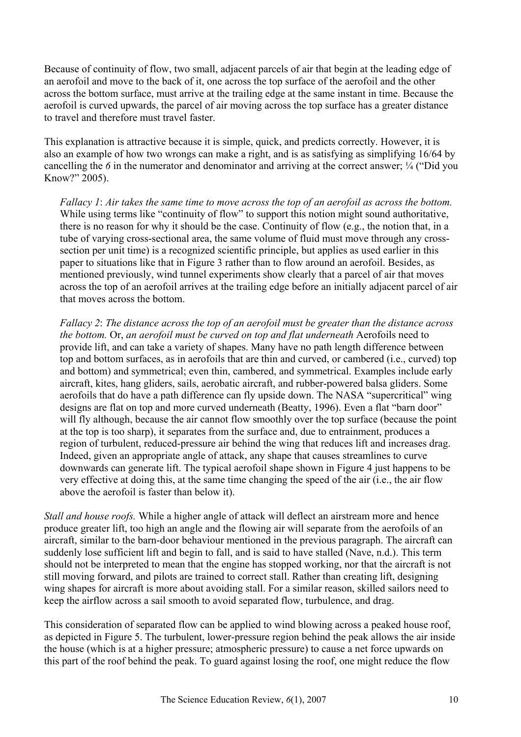Because of continuity of flow, two small, adjacent parcels of air that begin at the leading edge of an aerofoil and move to the back of it, one across the top surface of the aerofoil and the other across the bottom surface, must arrive at the trailing edge at the same instant in time. Because the aerofoil is curved upwards, the parcel of air moving across the top surface has a greater distance to travel and therefore must travel faster.

This explanation is attractive because it is simple, quick, and predicts correctly. However, it is also an example of how two wrongs can make a right, and is as satisfying as simplifying 16/64 by cancelling the 6 in the numerator and denominator and arriving at the correct answer;  $\frac{1}{4}$  ("Did you Know?" 2005).

*Fallacy 1*: *Air takes the same time to move across the top of an aerofoil as across the bottom.* While using terms like "continuity of flow" to support this notion might sound authoritative, there is no reason for why it should be the case. Continuity of flow (e.g., the notion that, in a tube of varying cross-sectional area, the same volume of fluid must move through any crosssection per unit time) is a recognized scientific principle, but applies as used earlier in this paper to situations like that in Figure 3 rather than to flow around an aerofoil. Besides, as mentioned previously, wind tunnel experiments show clearly that a parcel of air that moves across the top of an aerofoil arrives at the trailing edge before an initially adjacent parcel of air that moves across the bottom.

*Fallacy 2*: *The distance across the top of an aerofoil must be greater than the distance across the bottom.* Or, *an aerofoil must be curved on top and flat underneath* Aerofoils need to provide lift, and can take a variety of shapes. Many have no path length difference between top and bottom surfaces, as in aerofoils that are thin and curved, or cambered (i.e., curved) top and bottom) and symmetrical; even thin, cambered, and symmetrical. Examples include early aircraft, kites, hang gliders, sails, aerobatic aircraft, and rubber-powered balsa gliders. Some aerofoils that do have a path difference can fly upside down. The NASA "supercritical" wing designs are flat on top and more curved underneath (Beatty, 1996). Even a flat "barn door" will fly although, because the air cannot flow smoothly over the top surface (because the point at the top is too sharp), it separates from the surface and, due to entrainment, produces a region of turbulent, reduced-pressure air behind the wing that reduces lift and increases drag. Indeed, given an appropriate angle of attack, any shape that causes streamlines to curve downwards can generate lift. The typical aerofoil shape shown in Figure 4 just happens to be very effective at doing this, at the same time changing the speed of the air (i.e., the air flow above the aerofoil is faster than below it).

*Stall and house roofs.* While a higher angle of attack will deflect an airstream more and hence produce greater lift, too high an angle and the flowing air will separate from the aerofoils of an aircraft, similar to the barn-door behaviour mentioned in the previous paragraph. The aircraft can suddenly lose sufficient lift and begin to fall, and is said to have stalled (Nave, n.d.). This term should not be interpreted to mean that the engine has stopped working, nor that the aircraft is not still moving forward, and pilots are trained to correct stall. Rather than creating lift, designing wing shapes for aircraft is more about avoiding stall. For a similar reason, skilled sailors need to keep the airflow across a sail smooth to avoid separated flow, turbulence, and drag.

This consideration of separated flow can be applied to wind blowing across a peaked house roof, as depicted in Figure 5. The turbulent, lower-pressure region behind the peak allows the air inside the house (which is at a higher pressure; atmospheric pressure) to cause a net force upwards on this part of the roof behind the peak. To guard against losing the roof, one might reduce the flow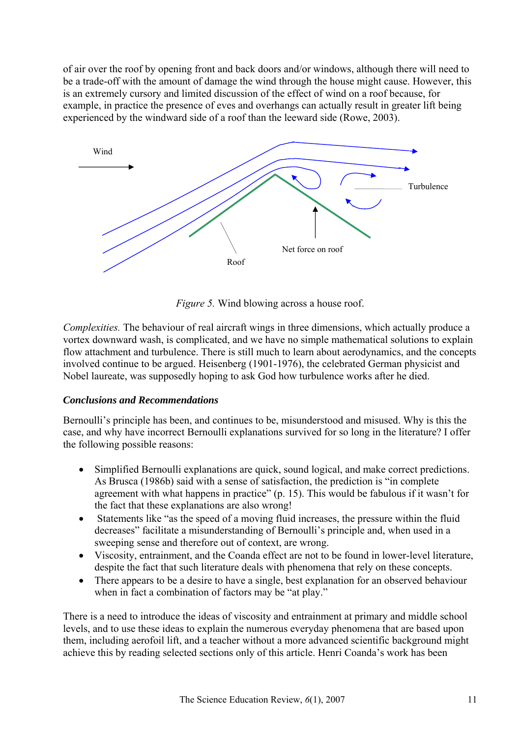of air over the roof by opening front and back doors and/or windows, although there will need to be a trade-off with the amount of damage the wind through the house might cause. However, this is an extremely cursory and limited discussion of the effect of wind on a roof because, for example, in practice the presence of eves and overhangs can actually result in greater lift being experienced by the windward side of a roof than the leeward side (Rowe, 2003).



*Figure 5.* Wind blowing across a house roof.

*Complexities.* The behaviour of real aircraft wings in three dimensions, which actually produce a vortex downward wash, is complicated, and we have no simple mathematical solutions to explain flow attachment and turbulence. There is still much to learn about aerodynamics, and the concepts involved continue to be argued. Heisenberg (1901-1976), the celebrated German physicist and Nobel laureate, was supposedly hoping to ask God how turbulence works after he died.

#### *Conclusions and Recommendations*

Bernoulli's principle has been, and continues to be, misunderstood and misused. Why is this the case, and why have incorrect Bernoulli explanations survived for so long in the literature? I offer the following possible reasons:

- Simplified Bernoulli explanations are quick, sound logical, and make correct predictions. As Brusca (1986b) said with a sense of satisfaction, the prediction is "in complete agreement with what happens in practice" (p. 15). This would be fabulous if it wasn't for the fact that these explanations are also wrong!
- Statements like "as the speed of a moving fluid increases, the pressure within the fluid decreases" facilitate a misunderstanding of Bernoulli's principle and, when used in a sweeping sense and therefore out of context, are wrong.
- Viscosity, entrainment, and the Coanda effect are not to be found in lower-level literature, despite the fact that such literature deals with phenomena that rely on these concepts.
- There appears to be a desire to have a single, best explanation for an observed behaviour when in fact a combination of factors may be "at play."

There is a need to introduce the ideas of viscosity and entrainment at primary and middle school levels, and to use these ideas to explain the numerous everyday phenomena that are based upon them, including aerofoil lift, and a teacher without a more advanced scientific background might achieve this by reading selected sections only of this article. Henri Coanda's work has been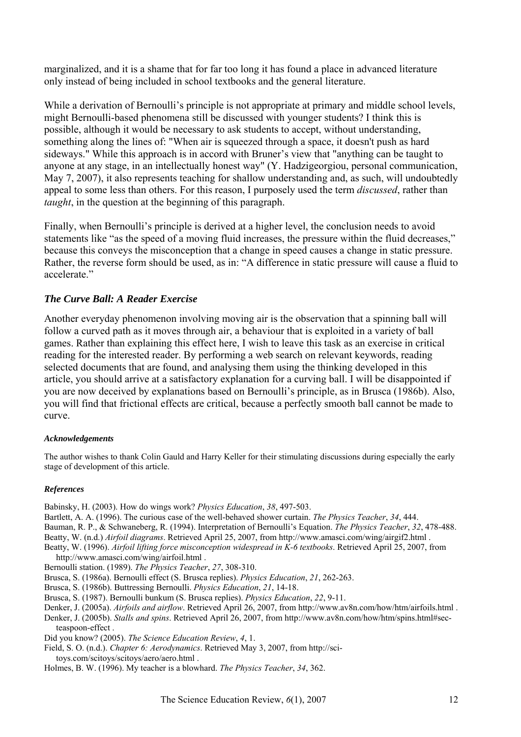marginalized, and it is a shame that for far too long it has found a place in advanced literature only instead of being included in school textbooks and the general literature.

While a derivation of Bernoulli's principle is not appropriate at primary and middle school levels, might Bernoulli-based phenomena still be discussed with younger students? I think this is possible, although it would be necessary to ask students to accept, without understanding, something along the lines of: "When air is squeezed through a space, it doesn't push as hard sideways." While this approach is in accord with Bruner's view that "anything can be taught to anyone at any stage, in an intellectually honest way" (Y. Hadzigeorgiou, personal communication, May 7, 2007), it also represents teaching for shallow understanding and, as such, will undoubtedly appeal to some less than others. For this reason, I purposely used the term *discussed*, rather than *taught*, in the question at the beginning of this paragraph.

Finally, when Bernoulli's principle is derived at a higher level, the conclusion needs to avoid statements like "as the speed of a moving fluid increases, the pressure within the fluid decreases," because this conveys the misconception that a change in speed causes a change in static pressure. Rather, the reverse form should be used, as in: "A difference in static pressure will cause a fluid to accelerate"

#### *The Curve Ball: A Reader Exercise*

Another everyday phenomenon involving moving air is the observation that a spinning ball will follow a curved path as it moves through air, a behaviour that is exploited in a variety of ball games. Rather than explaining this effect here, I wish to leave this task as an exercise in critical reading for the interested reader. By performing a web search on relevant keywords, reading selected documents that are found, and analysing them using the thinking developed in this article, you should arrive at a satisfactory explanation for a curving ball. I will be disappointed if you are now deceived by explanations based on Bernoulli's principle, as in Brusca (1986b). Also, you will find that frictional effects are critical, because a perfectly smooth ball cannot be made to curve.

#### *Acknowledgements*

The author wishes to thank Colin Gauld and Harry Keller for their stimulating discussions during especially the early stage of development of this article.

#### *References*

Babinsky, H. (2003). How do wings work? *Physics Education*, *38*, 497-503.

Bartlett, A. A. (1996). The curious case of the well-behaved shower curtain. *The Physics Teacher*, *34*, 444.

Bauman, R. P., & Schwaneberg, R. (1994). Interpretation of Bernoulli's Equation. *The Physics Teacher*, *32*, 478-488. Beatty, W. (n.d.) *Airfoil diagrams*. Retrieved April 25, 2007, from [http://www.amasci.com/wing/airgif2.html .](http://www.amasci.com/wing/airgif2.html) 

Beatty, W. (1996). *Airfoil lifting force misconception widespread in K-6 textbooks*. Retrieved April 25, 2007, from

[http://www.amasci.com/wing/airfoil.html .](http://www.amasci.com/wing/airfoil.html) 

Bernoulli station. (1989). *The Physics Teacher*, *27*, 308-310.

- Brusca, S. (1986a). Bernoulli effect (S. Brusca replies). *Physics Education*, *21*, 262-263.
- Brusca, S. (1986b). Buttressing Bernoulli. *Physics Education*, *21*, 14-18.
- Brusca, S. (1987). Bernoulli bunkum (S. Brusca replies). *Physics Education*, *22*, 9-11.
- Denker, J. (2005a). *Airfoils and airflow*. Retrieved April 26, 2007, from [http://www.av8n.com/how/htm/airfoils.html .](http://www.av8n.com/how/htm/airfoils.html)

Denker, J. (2005b). *Stalls and spins*[. Retrieved April 26, 2007, from http://www.av8n.com/how/htm/spins.html#sec](http://www.av8n.com/how/htm/spins.html#sec-teaspoon-The)teaspoon-effect .

Did you know? (2005). *The Science Education Review*, *4*, 1.

Field, S. O. (n.d.). *Chapter 6: Aerodynamics*. Retrieved May 3, 2007, from [http://sci](http://sci-toys.com/scitoys/scitoys/aero/aero.html)[toys.com/scitoys/scitoys/aero/aero.html .](http://sci-toys.com/scitoys/scitoys/aero/aero.html) 

Holmes, B. W. (1996). My teacher is a blowhard. *The Physics Teacher*, *34*, 362.